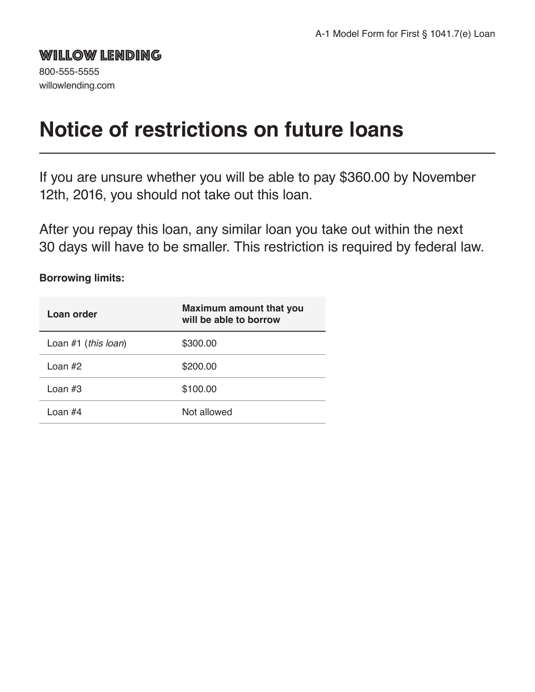## WILLOW LENDING

800-555-5555 willowlending.com

# **Notice of restrictions on future loans**

If you are unsure whether you will be able to pay \$360.00 by November 12th, 2016, you should not take out this loan.

After you repay this loan, any similar loan you take out within the next 30 days will have to be smaller. This restriction is required by federal law.

#### **Borrowing limits:**

| Loan order            | <b>Maximum amount that you</b><br>will be able to borrow |
|-----------------------|----------------------------------------------------------|
| Loan $#1$ (this loan) | \$300.00                                                 |
| Loan $#2$             | \$200.00                                                 |
| Loan #3               | \$100.00                                                 |
| Loan #4               | Not allowed                                              |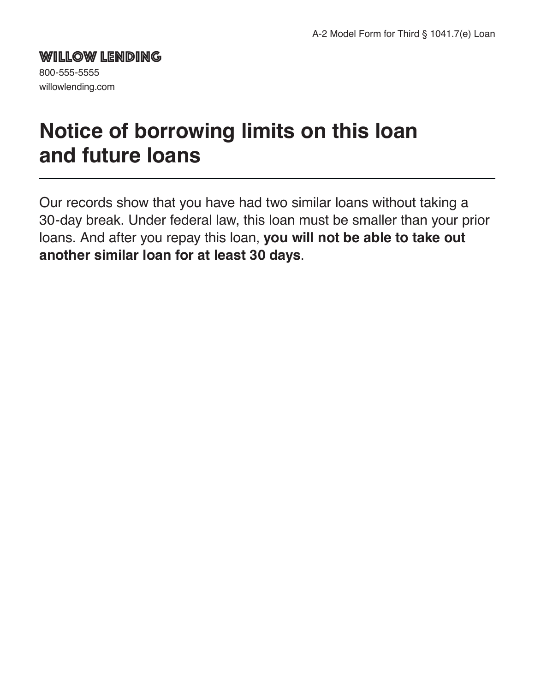## WILLOW LENDING

800-555-5555 willowlending.com

# **Notice of borrowing limits on this loan and future loans**

Our records show that you have had two similar loans without taking a 30-day break. Under federal law, this loan must be smaller than your prior loans. And after you repay this loan, **you will not be able to take out another similar loan for at least 30 days**.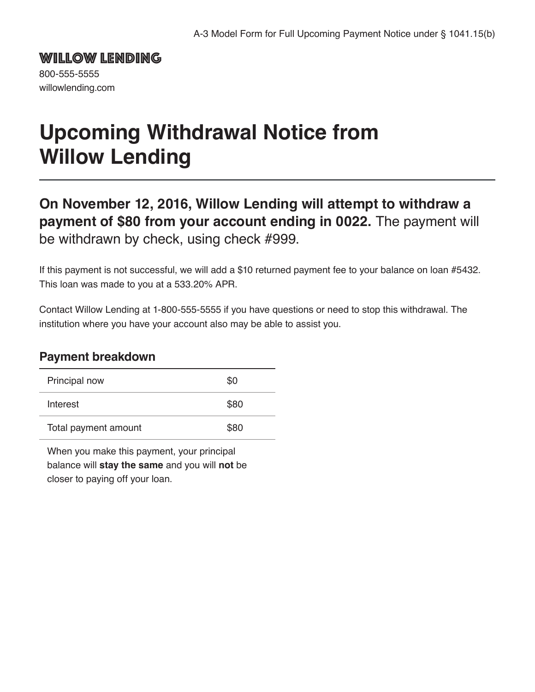WILLOW LENDING 800-555-5555 willowlending.com

# **Upcoming Withdrawal Notice from Willow Lending**

**On November 12, 2016, Willow Lending will attempt to withdraw a payment of \$80 from your account ending in 0022.** The payment will be withdrawn by check, using check #999.

If this payment is not successful, we will add a \$10 returned payment fee to your balance on loan #5432. This loan was made to you at a 533.20% APR.

Contact Willow Lending at 1-800-555-5555 if you have questions or need to stop this withdrawal. The institution where you have your account also may be able to assist you.

### **Payment breakdown**

| Principal now        | \$0  |
|----------------------|------|
| Interest             | \$80 |
| Total payment amount | \$80 |

When you make this payment, your principal balance will **stay the same** and you will **not** be closer to paying off your loan.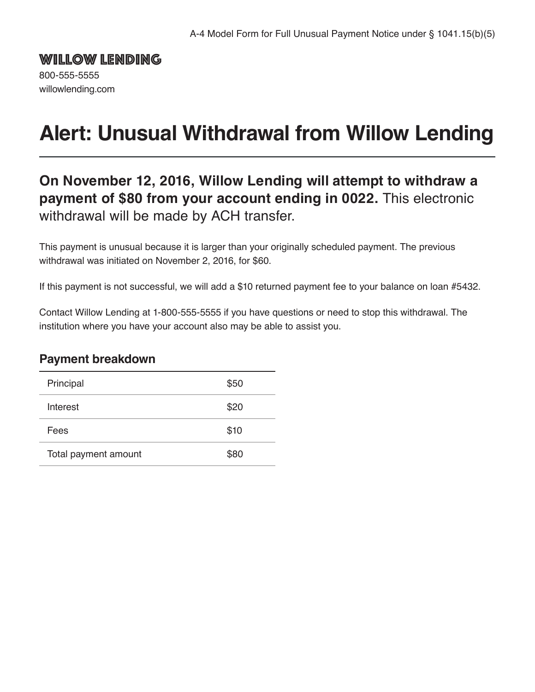WILLOW LENDING 800-555-5555 willowlending.com

# **Alert: Unusual Withdrawal from Willow Lending**

## **On November 12, 2016, Willow Lending will attempt to withdraw a payment of \$80 from your account ending in 0022.** This electronic withdrawal will be made by ACH transfer.

This payment is unusual because it is larger than your originally scheduled payment. The previous withdrawal was initiated on November 2, 2016, for \$60.

If this payment is not successful, we will add a \$10 returned payment fee to your balance on loan #5432.

Contact Willow Lending at 1-800-555-5555 if you have questions or need to stop this withdrawal. The institution where you have your account also may be able to assist you.

### **Payment breakdown**

| Principal            | \$50 |
|----------------------|------|
| Interest             | \$20 |
| Fees                 | \$10 |
| Total payment amount | \$80 |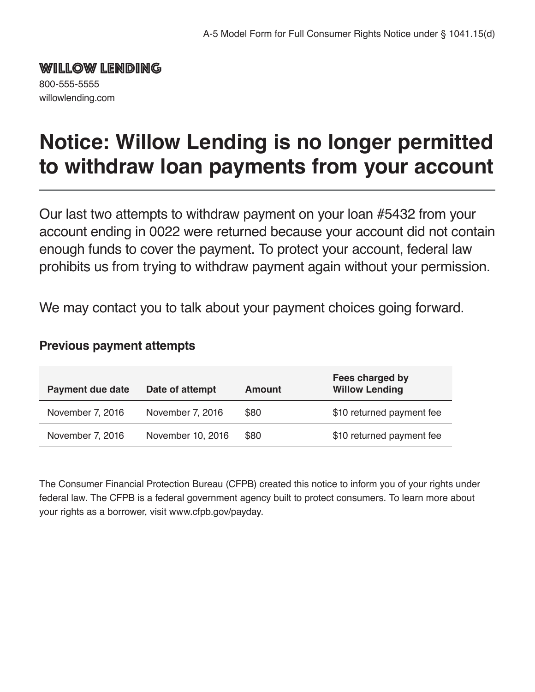WILLOW LENDING 800-555-5555

willowlending.com

**Notice: Willow Lending is no longer permitted to withdraw loan payments from your account**

Our last two attempts to withdraw payment on your loan #5432 from your account ending in 0022 were returned because your account did not contain enough funds to cover the payment. To protect your account, federal law prohibits us from trying to withdraw payment again without your permission.

We may contact you to talk about your payment choices going forward.

### **Previous payment attempts**

| <b>Payment due date</b> | Date of attempt   | Amount | Fees charged by<br><b>Willow Lending</b> |
|-------------------------|-------------------|--------|------------------------------------------|
| November 7, 2016        | November 7, 2016  | \$80   | \$10 returned payment fee                |
| November 7, 2016        | November 10, 2016 | \$80   | \$10 returned payment fee                |

The Consumer Financial Protection Bureau (CFPB) created this notice to inform you of your rights under federal law. The CFPB is a federal government agency built to protect consumers. To learn more about your rights as a borrower, visit www.cfpb.gov/payday.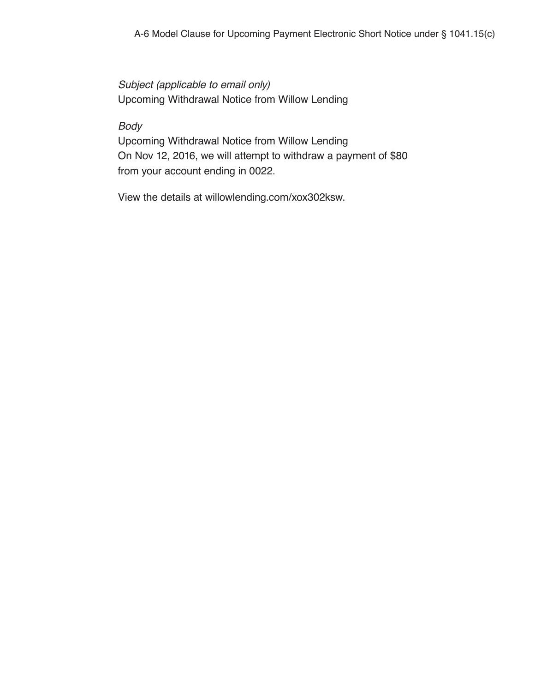*Subject (applicable to email only)* Upcoming Withdrawal Notice from Willow Lending

#### *Body*

Upcoming Withdrawal Notice from Willow Lending On Nov 12, 2016, we will attempt to withdraw a payment of \$80 from your account ending in 0022.

View the details at willowlending.com/xox302ksw.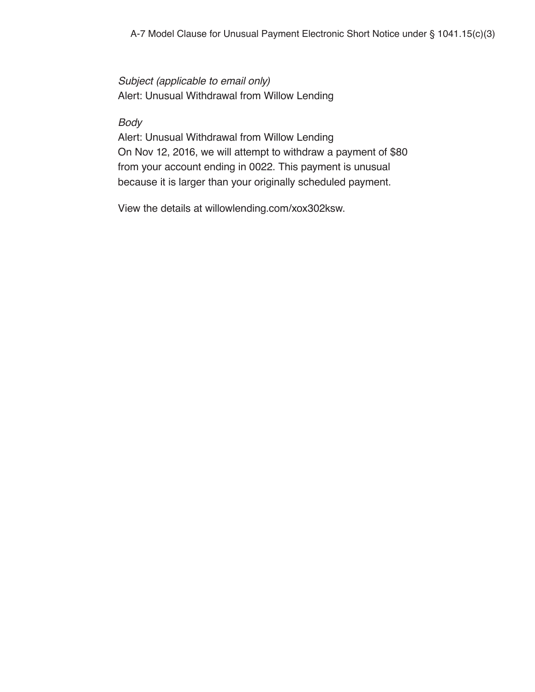*Subject (applicable to email only)* Alert: Unusual Withdrawal from Willow Lending

*Body*

Alert: Unusual Withdrawal from Willow Lending On Nov 12, 2016, we will attempt to withdraw a payment of \$80 from your account ending in 0022. This payment is unusual because it is larger than your originally scheduled payment.

View the details at willowlending.com/xox302ksw.